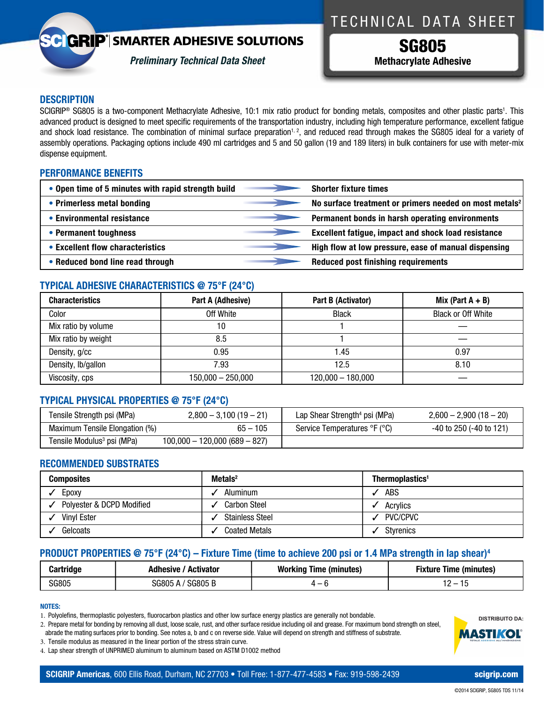## **GRIP**<sup>'</sup> SMARTER ADHESIVE SOLUTIONS



*Preliminary Technical Data Sheet*

## TECHNICAL DATA SHEET

SG805 **Methacrylate Adhesive**

## **DESCRIPTION**

SCIGRIP<sup>®</sup> SG805 is a two-component Methacrylate Adhesive, 10:1 mix ratio product for bonding metals, composites and other plastic parts<sup>1</sup>. This advanced product is designed to meet specific requirements of the transportation industry, including high temperature performance, excellent fatigue and shock load resistance. The combination of minimal surface preparation<sup>1, 2</sup>, and reduced read through makes the SG805 ideal for a variety of assembly operations. Packaging options include 490 ml cartridges and 5 and 50 gallon (19 and 189 liters) in bulk containers for use with meter-mix dispense equipment.

### **PERFORMANCE BENEFITS**

| • Open time of 5 minutes with rapid strength build | <b>Shorter fixture times</b>                                       |
|----------------------------------------------------|--------------------------------------------------------------------|
| • Primerless metal bonding                         | No surface treatment or primers needed on most metals <sup>2</sup> |
| • Environmental resistance                         | Permanent bonds in harsh operating environments                    |
| • Permanent toughness                              | <b>Excellent fatigue, impact and shock load resistance</b>         |
| • Excellent flow characteristics                   | High flow at low pressure, ease of manual dispensing               |
| • Reduced bond line read through                   | <b>Reduced post finishing requirements</b>                         |

## **TYPICAL ADHESIVE CHARACTERISTICS @ 75°F (24°C)**

| <b>Characteristics</b> | Part A (Adhesive)   | Part B (Activator)  | Mix (Part $A + B$ )       |
|------------------------|---------------------|---------------------|---------------------------|
| Color                  | Off White           | <b>Black</b>        | <b>Black or Off White</b> |
| Mix ratio by volume    | 10                  |                     |                           |
| Mix ratio by weight    | 8.5                 |                     |                           |
| Density, g/cc          | 0.95                | 1.45                | 0.97                      |
| Density, Ib/gallon     | 7.93                | 12.5                | 8.10                      |
| Viscosity, cps         | $150,000 - 250,000$ | $120,000 - 180,000$ |                           |

## **TYPICAL PHYSICAL PROPERTIES @ 75°F (24°C)**

| Tensile Strength psi (MPa)             | $2,800 - 3,100(19 - 21)$        | Lap Shear Strength <sup>4</sup> psi (MPa) | $2,600 - 2,900(18 - 20)$     |
|----------------------------------------|---------------------------------|-------------------------------------------|------------------------------|
| Maximum Tensile Elongation (%)         | $65 - 105$                      | Service Temperatures °F (°C)              | $-40$ to 250 ( $-40$ to 121) |
| Tensile Modulus <sup>3</sup> psi (MPa) | $100,000 - 120,000 (689 - 827)$ |                                           |                              |

## **RECOMMENDED SUBSTRATES**

| <b>Composites</b>         | MetaIs <sup>2</sup>    | Thermoplastics <sup>1</sup> |
|---------------------------|------------------------|-----------------------------|
| Epoxy                     | Aluminum               | <b>ABS</b>                  |
| Polyester & DCPD Modified | <b>Carbon Steel</b>    | Acrylics                    |
| <b>Vinvl Ester</b>        | <b>Stainless Steel</b> | PVC/CPVC                    |
| Gelcoats                  | <b>Coated Metals</b>   | <b>Styrenics</b>            |

## **PRODUCT PROPERTIES @ 75°F (24°C) – Fixture Time (time to achieve 200 psi or 1.4 MPa strength in lap shear)4**

| Cartridge | Adhesive<br>Activator    | <b>Working Time (minutes)</b> | Time (minutes)<br>⊦ıxture |
|-----------|--------------------------|-------------------------------|---------------------------|
| SG805     | <b>SG805B</b><br>3G805 A | 4 — r                         | -<br>ט ו<br>$\cdot$ .     |

### **NOTES:**

1. Polyolefins, thermoplastic polyesters, fluorocarbon plastics and other low surface energy plastics are generally not bondable.

2. Prepare metal for bonding by removing all dust, loose scale, rust, and other surface residue including oil and grease. For maximum bond strength on steel, abrade the mating surfaces prior to bonding. See notes a, b and c on reverse side. Value will depend on strength and stiffness of substrate.

3. Tensile modulus as measured in the linear portion of the stress strain curve.

4. lap shear strength of UnPRiMeD aluminum to aluminum based on aSTM D1002 method